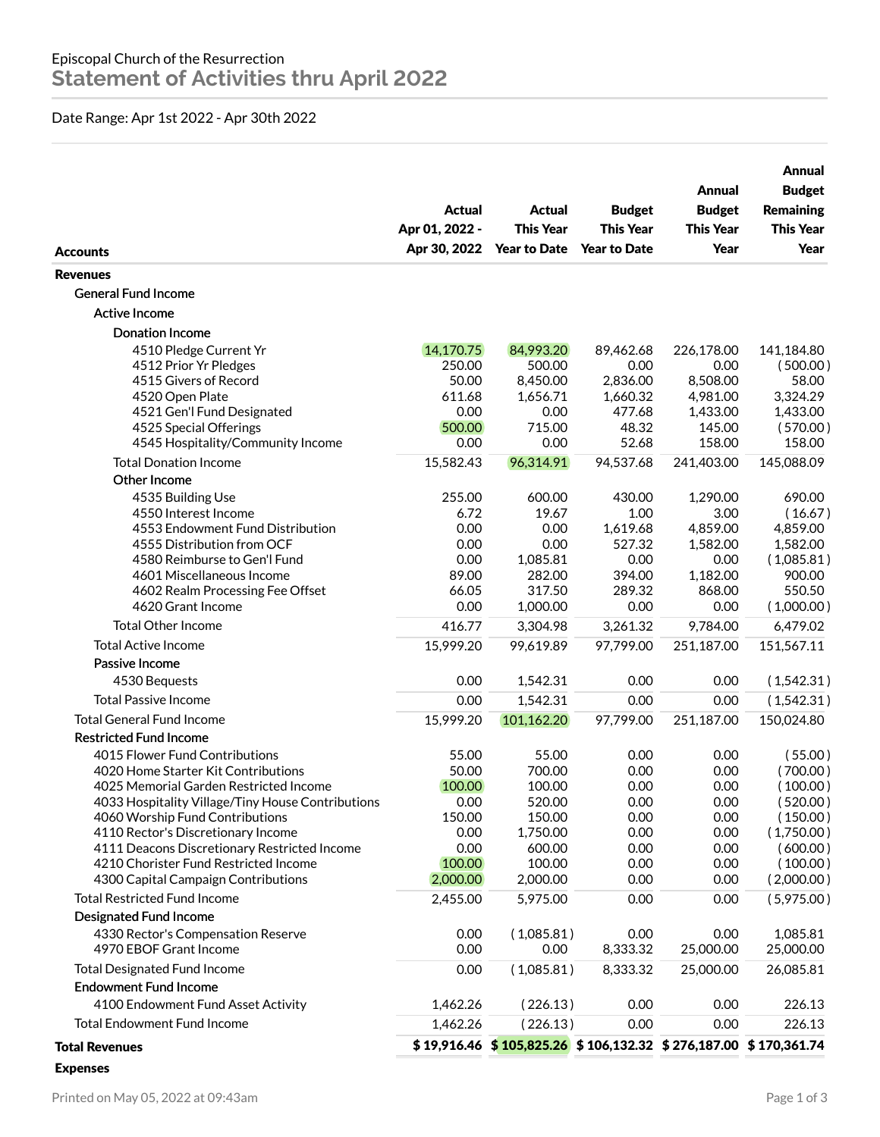## Date Range: Apr 1st 2022 - Apr 30th 2022

| <b>Accounts</b>                                              | <b>Actual</b><br>Apr 01, 2022 -<br>Apr 30, 2022 | <b>Actual</b><br><b>This Year</b><br><b>Year to Date</b>             | <b>Budget</b><br><b>This Year</b><br><b>Year to Date</b> | Annual<br><b>Budget</b><br><b>This Year</b><br>Year | Annual<br><b>Budget</b><br><b>Remaining</b><br><b>This Year</b><br>Year |
|--------------------------------------------------------------|-------------------------------------------------|----------------------------------------------------------------------|----------------------------------------------------------|-----------------------------------------------------|-------------------------------------------------------------------------|
| <b>Revenues</b>                                              |                                                 |                                                                      |                                                          |                                                     |                                                                         |
| <b>General Fund Income</b>                                   |                                                 |                                                                      |                                                          |                                                     |                                                                         |
| <b>Active Income</b>                                         |                                                 |                                                                      |                                                          |                                                     |                                                                         |
| <b>Donation Income</b>                                       |                                                 |                                                                      |                                                          |                                                     |                                                                         |
| 4510 Pledge Current Yr                                       | 14,170.75                                       | 84,993.20                                                            | 89,462.68                                                | 226,178.00                                          | 141,184.80                                                              |
| 4512 Prior Yr Pledges                                        | 250.00                                          | 500.00                                                               | 0.00                                                     | 0.00                                                | (500.00)                                                                |
| 4515 Givers of Record                                        | 50.00                                           | 8,450.00                                                             | 2,836.00                                                 | 8,508.00                                            | 58.00                                                                   |
| 4520 Open Plate                                              | 611.68                                          | 1,656.71                                                             | 1,660.32                                                 | 4,981.00                                            | 3,324.29                                                                |
| 4521 Gen'l Fund Designated                                   | 0.00                                            | 0.00                                                                 | 477.68                                                   | 1,433.00                                            | 1,433.00                                                                |
| 4525 Special Offerings                                       | 500.00                                          | 715.00                                                               | 48.32                                                    | 145.00                                              | (570.00)                                                                |
| 4545 Hospitality/Community Income                            | 0.00                                            | 0.00                                                                 | 52.68                                                    | 158.00                                              | 158.00                                                                  |
| <b>Total Donation Income</b>                                 | 15,582.43                                       | 96,314.91                                                            | 94,537.68                                                | 241,403.00                                          | 145,088.09                                                              |
| Other Income                                                 |                                                 |                                                                      |                                                          |                                                     |                                                                         |
| 4535 Building Use                                            | 255.00                                          | 600.00                                                               | 430.00                                                   | 1,290.00                                            | 690.00                                                                  |
| 4550 Interest Income                                         | 6.72                                            | 19.67                                                                | 1.00                                                     | 3.00                                                | (16.67)                                                                 |
| 4553 Endowment Fund Distribution                             | 0.00                                            | 0.00                                                                 | 1,619.68                                                 | 4,859.00                                            | 4,859.00                                                                |
| 4555 Distribution from OCF                                   | 0.00                                            | 0.00                                                                 | 527.32                                                   | 1,582.00                                            | 1,582.00                                                                |
| 4580 Reimburse to Gen'l Fund                                 | 0.00                                            | 1,085.81                                                             | 0.00                                                     | 0.00                                                | (1,085.81)                                                              |
| 4601 Miscellaneous Income                                    | 89.00                                           | 282.00                                                               | 394.00                                                   | 1,182.00                                            | 900.00                                                                  |
| 4602 Realm Processing Fee Offset                             | 66.05                                           | 317.50                                                               | 289.32                                                   | 868.00                                              | 550.50                                                                  |
| 4620 Grant Income                                            | 0.00                                            | 1,000.00                                                             | 0.00                                                     | 0.00                                                | (1,000.00)                                                              |
| <b>Total Other Income</b>                                    | 416.77                                          | 3,304.98                                                             | 3,261.32                                                 | 9,784.00                                            | 6,479.02                                                                |
| <b>Total Active Income</b>                                   | 15,999.20                                       | 99,619.89                                                            | 97,799.00                                                | 251,187.00                                          | 151,567.11                                                              |
| Passive Income                                               |                                                 |                                                                      |                                                          |                                                     |                                                                         |
| 4530 Bequests                                                | 0.00                                            | 1,542.31                                                             | 0.00                                                     | 0.00                                                | (1,542.31)                                                              |
| <b>Total Passive Income</b>                                  | 0.00                                            | 1,542.31                                                             | 0.00                                                     | 0.00                                                | (1,542.31)                                                              |
| <b>Total General Fund Income</b>                             | 15,999.20                                       | 101,162.20                                                           | 97,799.00                                                | 251,187.00                                          | 150,024.80                                                              |
| <b>Restricted Fund Income</b>                                |                                                 |                                                                      |                                                          |                                                     |                                                                         |
| 4015 Flower Fund Contributions                               | 55.00                                           | 55.00                                                                | 0.00                                                     | 0.00                                                | (55.00)                                                                 |
| 4020 Home Starter Kit Contributions                          | 50.00                                           | 700.00                                                               | 0.00                                                     | 0.00                                                | (700.00)                                                                |
| 4025 Memorial Garden Restricted Income                       | 100.00                                          | 100.00                                                               | 0.00                                                     | 0.00                                                | (100.00)                                                                |
| 4033 Hospitality Village/Tiny House Contributions            | 0.00                                            | 520.00                                                               | 0.00                                                     | 0.00                                                | (520.00)                                                                |
| 4060 Worship Fund Contributions                              | 150.00                                          | 150.00                                                               | 0.00                                                     | 0.00                                                | (150.00)                                                                |
| 4110 Rector's Discretionary Income                           | 0.00                                            | 1,750.00                                                             | 0.00                                                     | 0.00                                                | (1,750.00)                                                              |
| 4111 Deacons Discretionary Restricted Income                 | 0.00                                            | 600.00                                                               | 0.00                                                     | 0.00                                                | (600.00)                                                                |
| 4210 Chorister Fund Restricted Income                        | 100.00                                          | 100.00                                                               | 0.00                                                     | 0.00                                                | (100.00)                                                                |
| 4300 Capital Campaign Contributions                          | 2,000.00                                        | 2,000.00                                                             | 0.00                                                     | 0.00                                                | (2,000.00)                                                              |
| <b>Total Restricted Fund Income</b>                          | 2,455.00                                        | 5,975.00                                                             | 0.00                                                     | 0.00                                                | (5,975.00)                                                              |
| Designated Fund Income                                       |                                                 |                                                                      |                                                          |                                                     |                                                                         |
| 4330 Rector's Compensation Reserve<br>4970 EBOF Grant Income | 0.00<br>0.00                                    | (1,085.81)<br>0.00                                                   | 0.00<br>8,333.32                                         | 0.00<br>25,000.00                                   | 1,085.81<br>25,000.00                                                   |
| <b>Total Designated Fund Income</b>                          | 0.00                                            | (1,085.81)                                                           | 8,333.32                                                 | 25,000.00                                           | 26,085.81                                                               |
| <b>Endowment Fund Income</b>                                 |                                                 |                                                                      |                                                          |                                                     |                                                                         |
| 4100 Endowment Fund Asset Activity                           | 1,462.26                                        | (226.13)                                                             | 0.00                                                     | 0.00                                                | 226.13                                                                  |
| <b>Total Endowment Fund Income</b>                           | 1,462.26                                        | (226.13)                                                             | 0.00                                                     | 0.00                                                | 226.13                                                                  |
| <b>Total Revenues</b>                                        |                                                 | $$19,916.46$ $$105,825.26$ $$106,132.32$ $$276,187.00$ $$170,361.74$ |                                                          |                                                     |                                                                         |
| <b>Expenses</b>                                              |                                                 |                                                                      |                                                          |                                                     |                                                                         |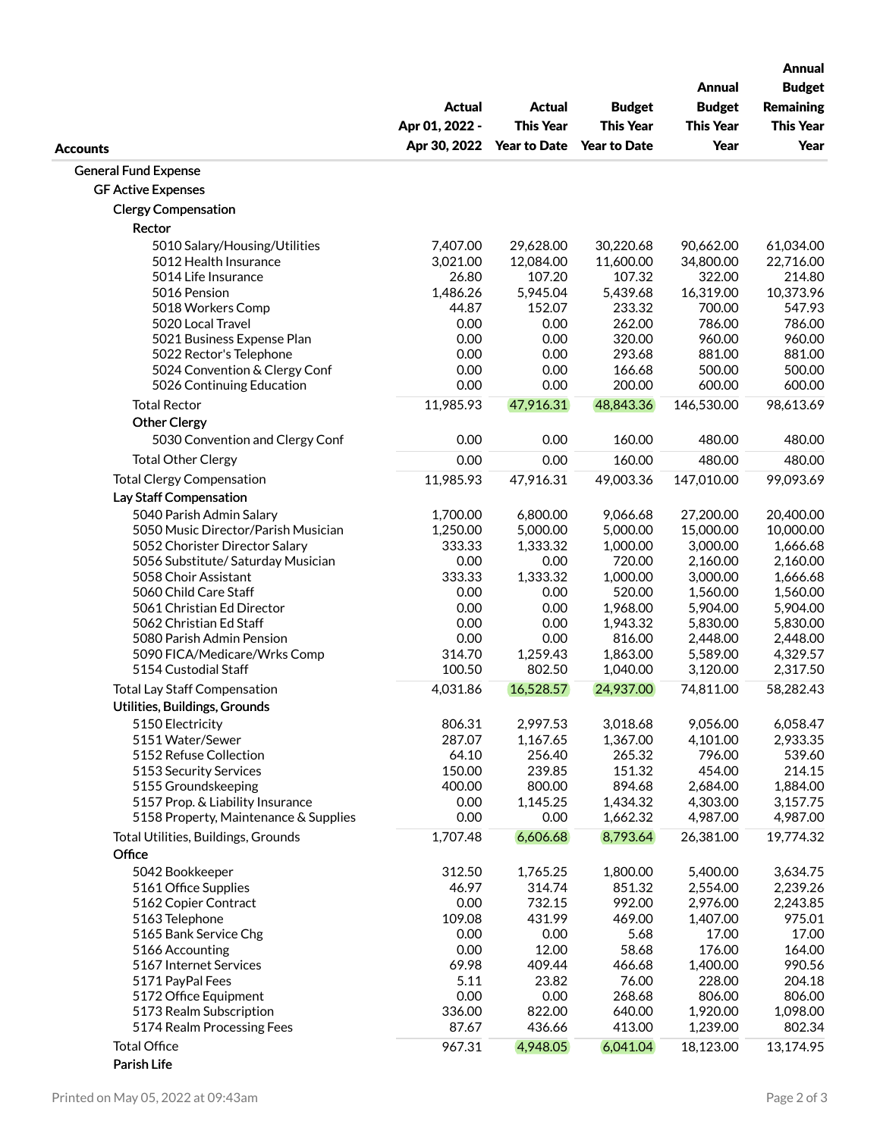|                                                      |                   |                     |                     | Annual               | <b>Annual</b><br><b>Budget</b> |
|------------------------------------------------------|-------------------|---------------------|---------------------|----------------------|--------------------------------|
|                                                      | Actual            | <b>Actual</b>       | <b>Budget</b>       | <b>Budget</b>        | <b>Remaining</b>               |
|                                                      | Apr 01, 2022 -    | <b>This Year</b>    | <b>This Year</b>    | <b>This Year</b>     | <b>This Year</b>               |
|                                                      | Apr 30, 2022      | <b>Year to Date</b> | <b>Year to Date</b> | Year                 | Year                           |
| <b>Accounts</b>                                      |                   |                     |                     |                      |                                |
| <b>General Fund Expense</b>                          |                   |                     |                     |                      |                                |
| <b>GF Active Expenses</b>                            |                   |                     |                     |                      |                                |
| <b>Clergy Compensation</b>                           |                   |                     |                     |                      |                                |
| Rector                                               |                   |                     |                     |                      |                                |
| 5010 Salary/Housing/Utilities                        | 7,407.00          | 29,628.00           | 30,220.68           | 90,662.00            | 61,034.00                      |
| 5012 Health Insurance                                | 3,021.00          | 12,084.00           | 11,600.00           | 34,800.00            | 22,716.00                      |
| 5014 Life Insurance<br>5016 Pension                  | 26.80<br>1,486.26 | 107.20<br>5,945.04  | 107.32<br>5,439.68  | 322.00<br>16,319.00  | 214.80<br>10,373.96            |
| 5018 Workers Comp                                    | 44.87             | 152.07              | 233.32              | 700.00               | 547.93                         |
| 5020 Local Travel                                    | 0.00              | 0.00                | 262.00              | 786.00               | 786.00                         |
| 5021 Business Expense Plan                           | 0.00              | 0.00                | 320.00              | 960.00               | 960.00                         |
| 5022 Rector's Telephone                              | 0.00              | 0.00                | 293.68              | 881.00               | 881.00                         |
| 5024 Convention & Clergy Conf                        | 0.00              | 0.00                | 166.68              | 500.00               | 500.00                         |
| 5026 Continuing Education                            | 0.00              | 0.00                | 200.00              | 600.00               | 600.00                         |
| <b>Total Rector</b>                                  | 11,985.93         | 47,916.31           | 48,843.36           | 146,530.00           | 98,613.69                      |
| <b>Other Clergy</b>                                  |                   |                     |                     |                      |                                |
| 5030 Convention and Clergy Conf                      | 0.00              | 0.00                | 160.00              | 480.00               | 480.00                         |
| <b>Total Other Clergy</b>                            | 0.00              | 0.00                | 160.00              | 480.00               | 480.00                         |
| <b>Total Clergy Compensation</b>                     | 11,985.93         | 47,916.31           | 49,003.36           | 147,010.00           | 99,093.69                      |
| Lay Staff Compensation                               |                   |                     |                     |                      |                                |
| 5040 Parish Admin Salary                             | 1,700.00          | 6,800.00            | 9,066.68            | 27,200.00            | 20,400.00                      |
| 5050 Music Director/Parish Musician                  | 1,250.00          | 5,000.00            | 5,000.00            | 15,000.00            | 10,000.00                      |
| 5052 Chorister Director Salary                       | 333.33            | 1,333.32            | 1,000.00            | 3,000.00             | 1,666.68                       |
| 5056 Substitute/ Saturday Musician                   | 0.00              | 0.00                | 720.00              | 2,160.00             | 2,160.00                       |
| 5058 Choir Assistant                                 | 333.33            | 1,333.32            | 1,000.00            | 3,000.00             | 1,666.68                       |
| 5060 Child Care Staff                                | 0.00              | 0.00                | 520.00              | 1,560.00             | 1,560.00                       |
| 5061 Christian Ed Director                           | 0.00              | 0.00                | 1,968.00            | 5,904.00             | 5,904.00                       |
| 5062 Christian Ed Staff                              | 0.00              | 0.00                | 1,943.32            | 5,830.00             | 5,830.00                       |
| 5080 Parish Admin Pension                            | 0.00              | 0.00                | 816.00              | 2,448.00             | 2,448.00                       |
| 5090 FICA/Medicare/Wrks Comp<br>5154 Custodial Staff | 314.70            | 1,259.43            | 1,863.00            | 5,589.00             | 4,329.57                       |
|                                                      | 100.50            | 802.50              | 1,040.00            | 3,120.00             | 2,317.50                       |
| <b>Total Lay Staff Compensation</b>                  | 4,031.86          | 16,528.57           | 24,937.00           | 74,811.00            | 58,282.43                      |
| Utilities, Buildings, Grounds                        |                   |                     |                     |                      |                                |
| 5150 Electricity                                     | 806.31            | 2,997.53            | 3,018.68            | 9,056.00             | 6,058.47                       |
| 5151 Water/Sewer                                     | 287.07            | 1,167.65            | 1,367.00            | 4,101.00             | 2,933.35                       |
| 5152 Refuse Collection                               | 64.10             | 256.40              | 265.32              | 796.00               | 539.60                         |
| 5153 Security Services<br>5155 Groundskeeping        | 150.00<br>400.00  | 239.85<br>800.00    | 151.32<br>894.68    | 454.00               | 214.15<br>1,884.00             |
| 5157 Prop. & Liability Insurance                     | 0.00              | 1,145.25            | 1,434.32            | 2,684.00<br>4,303.00 | 3,157.75                       |
| 5158 Property, Maintenance & Supplies                | 0.00              | 0.00                | 1,662.32            | 4,987.00             | 4,987.00                       |
| Total Utilities, Buildings, Grounds                  | 1,707.48          | 6,606.68            | 8,793.64            | 26,381.00            | 19,774.32                      |
| Office                                               |                   |                     |                     |                      |                                |
| 5042 Bookkeeper                                      | 312.50            | 1,765.25            | 1,800.00            | 5,400.00             | 3,634.75                       |
| 5161 Office Supplies                                 | 46.97             | 314.74              | 851.32              | 2,554.00             | 2,239.26                       |
| 5162 Copier Contract                                 | 0.00              | 732.15              | 992.00              | 2,976.00             | 2,243.85                       |
| 5163 Telephone                                       | 109.08            | 431.99              | 469.00              | 1,407.00             | 975.01                         |
| 5165 Bank Service Chg                                | 0.00              | 0.00                | 5.68                | 17.00                | 17.00                          |
| 5166 Accounting                                      | 0.00              | 12.00               | 58.68               | 176.00               | 164.00                         |
| 5167 Internet Services                               | 69.98             | 409.44              | 466.68              | 1,400.00             | 990.56                         |
| 5171 PayPal Fees                                     | 5.11              | 23.82               | 76.00               | 228.00               | 204.18                         |
| 5172 Office Equipment                                | 0.00              | 0.00                | 268.68              | 806.00               | 806.00                         |
| 5173 Realm Subscription                              | 336.00            | 822.00              | 640.00              | 1,920.00             | 1,098.00                       |
| 5174 Realm Processing Fees                           | 87.67             | 436.66              | 413.00              | 1,239.00             | 802.34                         |
| <b>Total Office</b><br>Parish Life                   | 967.31            | 4,948.05            | 6,041.04            | 18,123.00            | 13,174.95                      |